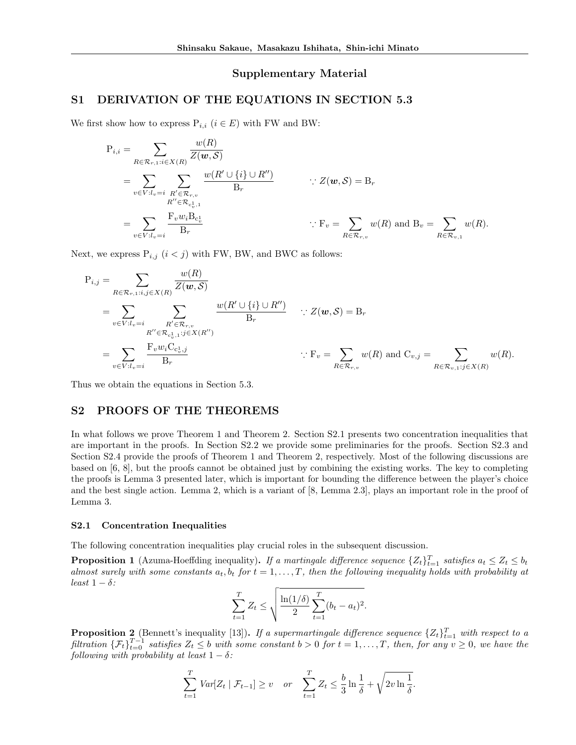### Supplementary Material

## S1 DERIVATION OF THE EQUATIONS IN SECTION 5.3

We first show how to express  $P_{i,i}$  ( $i \in E$ ) with FW and BW:

$$
P_{i,i} = \sum_{R \in \mathcal{R}_{r,1}: i \in X(R)} \frac{w(R)}{Z(\boldsymbol{w}, \mathcal{S})}
$$
  
= 
$$
\sum_{v \in V: l_v = i} \sum_{\substack{R' \in \mathcal{R}_{r,v} \\ R'' \in \mathcal{R}_{c_v^1,1}}} \frac{w(R' \cup \{i\} \cup R'')}{B_r} \qquad \therefore Z(\boldsymbol{w}, \mathcal{S}) = B_r
$$
  
= 
$$
\sum_{v \in V: l_v = i} \frac{F_v w_i B_{c_v^1}}{B_r}
$$
  

$$
\therefore F_v = \sum_{R \in \mathcal{R}_{r,v}} w(R) \text{ and } B_v = \sum_{R \in \mathcal{R}_{v,1}} w(R).
$$

Next, we express  $P_{i,j}$   $(i < j)$  with FW, BW, and BWC as follows:

$$
P_{i,j} = \sum_{R \in \mathcal{R}_{r,1}:i,j \in X(R)} \frac{w(R)}{Z(\boldsymbol{w}, \mathcal{S})}
$$
  
= 
$$
\sum_{v \in V: l_v=i} \sum_{\substack{R' \in \mathcal{R}_{r,v} \\ R'' \in \mathcal{R}_{c_v^1,1}:j \in X(R'')} } \frac{w(R' \cup \{i\} \cup R'')}{B_r} \quad \therefore Z(\boldsymbol{w}, \mathcal{S}) = B_r
$$
  
= 
$$
\sum_{v \in V: l_v=i} \frac{F_v w_i C_{c_v^1,j}}{B_r} \qquad \qquad \therefore F_v = \sum_{R \in \mathcal{R}_{r,v}} w(R) \text{ and } C_{v,j} = \sum_{R \in \mathcal{R}_{v,1}:j \in X(R)} w(R).
$$

Thus we obtain the equations in Section 5.3.

# S2 PROOFS OF THE THEOREMS

In what follows we prove Theorem 1 and Theorem 2. Section S2.1 presents two concentration inequalities that are important in the proofs. In Section S2.2 we provide some preliminaries for the proofs. Section S2.3 and Section S2.4 provide the proofs of Theorem 1 and Theorem 2, respectively. Most of the following discussions are based on [6, 8], but the proofs cannot be obtained just by combining the existing works. The key to completing the proofs is Lemma 3 presented later, which is important for bounding the difference between the player's choice and the best single action. Lemma 2, which is a variant of [8, Lemma 2.3], plays an important role in the proof of Lemma 3.

#### S2.1 Concentration Inequalities

The following concentration inequalities play crucial roles in the subsequent discussion.

**Proposition 1** (Azuma-Hoeffding inequality). *If a martingale difference sequence*  $\{Z_t\}_{t=1}^T$  *satisfies*  $a_t \leq Z_t \leq b_t$ *almost surely with some constants*  $a_t$ ,  $b_t$  *for*  $t = 1, \ldots, T$ , *then the following inequality holds with probability at least*  $1 - \delta$ *:* 

$$
\sum_{t=1}^{T} Z_t \le \sqrt{\frac{\ln(1/\delta)}{2} \sum_{t=1}^{T} (b_t - a_t)^2}.
$$

**Proposition 2** (Bennett's inequality [13]). If a supermartingale difference sequence  $\{Z_t\}_{t=1}^T$  with respect to a filtration  $\{\mathcal{F}_t\}_{t=0}^{T-1}$  satisfies  $Z_t \leq b$  with some constant  $b > 0$  for  $t = 1, ..., T$ , then, for any  $v \geq 0$ , we have the *following with probability at least*  $1 - \delta$ *:* 

$$
\sum_{t=1}^{T} Var[Z_t | \mathcal{F}_{t-1}] \geq v \quad or \quad \sum_{t=1}^{T} Z_t \leq \frac{b}{3} \ln \frac{1}{\delta} + \sqrt{2v \ln \frac{1}{\delta}}.
$$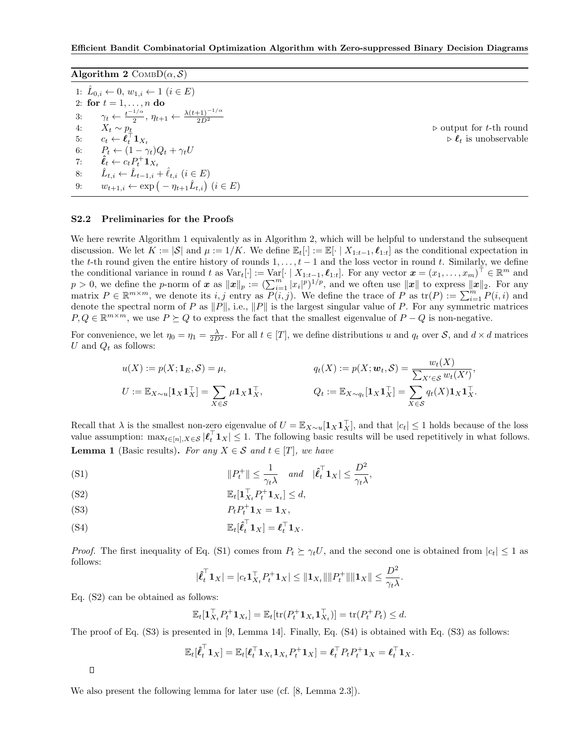| Algorithm 2 $\text{CoMBD}(\alpha, \mathcal{S})$ |                                                                                                               |                                                |
|-------------------------------------------------|---------------------------------------------------------------------------------------------------------------|------------------------------------------------|
|                                                 | 1: $\hat{L}_{0,i} \leftarrow 0, w_{1,i} \leftarrow 1 \ (i \in E)$                                             |                                                |
|                                                 | 2: for $t = 1, , n$ do                                                                                        |                                                |
|                                                 | 3: $\gamma_t \leftarrow \frac{t^{-1/\alpha}}{2}, \eta_{t+1} \leftarrow \frac{\lambda(t+1)^{-1/\alpha}}{2D^2}$ |                                                |
|                                                 | 4: $X_t \sim p_t$                                                                                             | $\triangleright$ output for <i>t</i> -th round |
| 5:                                              | $c_t \leftarrow \boldsymbol{\ell}_t^{\top} \boldsymbol{1}_{X_t}$                                              | $\triangleright \ell_t$ is unobservable        |
|                                                 | 6: $P_t \leftarrow (1 - \gamma_t)Q_t + \gamma_t U$                                                            |                                                |
|                                                 | 7: $\hat{\ell}_t \leftarrow c_t P_t^+ \mathbf{1}_{X_t}$                                                       |                                                |
| 8:                                              | $\hat{L}_{t,i} \leftarrow \hat{L}_{t-1,i} + \hat{\ell}_{t,i} \ (i \in E)$                                     |                                                |
| 9:                                              | $w_{t+1,i} \leftarrow \exp(-\eta_{t+1} \hat{L}_{t,i})$ $(i \in E)$                                            |                                                |

#### S2.2 Preliminaries for the Proofs

We here rewrite Algorithm 1 equivalently as in Algorithm 2, which will be helpful to understand the subsequent discussion. We let  $K := |\mathcal{S}|$  and  $\mu := 1/K$ . We define  $\mathbb{E}_t[\cdot] := \mathbb{E}[\cdot | X_{1:t-1}, \ell_{1:t}]$  as the conditional expectation in the *t*-th round given the entire history of rounds  $1, \ldots, t-1$  and the loss vector in round *t*. Similarly, we define the conditional variance in round *t* as  $Var_t[\cdot] := Var[\cdot | X_{1:t-1}, \ell_{1:t}].$  For any vector  $x = (x_1, \ldots, x_m)^\top \in \mathbb{R}^m$  and  $p > 0$ , we define the *p*-norm of *x* as  $||x||_p := (\sum_{i=1}^m |x_i|^p)^{1/p}$ , and we often use  $||x||$  to express  $||x||_2$ . For any matrix  $P \in \mathbb{R}^{m \times m}$ , we denote its *i, j* entry as  $P(i, j)$ . We define the trace of  $P$  as  $\text{tr}(P) := \sum_{i=1}^{m} P(i, i)$  and denote the spectral norm of *P* as  $||P||$ , i.e.,  $||P||$  is the largest singular value of *P*. For any symmetric matrices  $P, Q \in \mathbb{R}^{m \times m}$ , we use  $P \succeq Q$  to express the fact that the smallest eigenvalue of  $P - Q$  is non-negative.

For convenience, we let  $\eta_0 = \eta_1 = \frac{\lambda}{2D^2}$ . For all  $t \in [T]$ , we define distributions *u* and  $q_t$  over *S*, and  $d \times d$  matrices  $U$  and  $Q_t$  as follows:

$$
u(X) := p(X; \mathbf{1}_E, \mathcal{S}) = \mu,
$$
  
\n
$$
q_t(X) := p(X; \mathbf{w}_t, \mathcal{S}) = \frac{w_t(X)}{\sum_{X' \in \mathcal{S}} w_t(X')},
$$
  
\n
$$
U := \mathbb{E}_{X \sim u}[\mathbf{1}_X \mathbf{1}_X^\top] = \sum_{X \in \mathcal{S}} \mu \mathbf{1}_X \mathbf{1}_X^\top, \qquad Q_t := \mathbb{E}_{X \sim q_t}[\mathbf{1}_X \mathbf{1}_X^\top] = \sum_{X \in \mathcal{S}} q_t(X) \mathbf{1}_X \mathbf{1}_X^\top.
$$

Recall that  $\lambda$  is the smallest non-zero eigenvalue of  $U = \mathbb{E}_{X \sim u}[\mathbf{1}_X \mathbf{1}_X^+]$ , and that  $|c_t| \leq 1$  holds because of the loss value assumption:  $\max_{t \in [n], X \in \mathcal{S}} |\ell_t^{\perp} \mathbf{1}_X| \leq 1$ . The following basic results will be used repetitively in what follows. **Lemma 1** (Basic results). For any  $X \in \mathcal{S}$  and  $t \in [T]$ , we have

(S1) 
$$
||P_t^+|| \leq \frac{1}{\gamma_t \lambda} \quad \text{and} \quad |\hat{\ell}_t^{\top} \mathbf{1}_X| \leq \frac{D^2}{\gamma_t \lambda},
$$

$$
\mathbb{E}_t[\mathbf{1}_{X_t}^\top P_t^+ \mathbf{1}_{X_t}] \leq d,
$$

$$
(S3) \t\t\t P_t P_t^+ \mathbf{1}_X = \mathbf{1}_X,
$$

(S4) 
$$
\mathbb{E}_t[\hat{\boldsymbol{\ell}}_t^\top \mathbf{1}_X] = \boldsymbol{\ell}_t^\top \mathbf{1}_X.
$$

*Proof.* The first inequality of Eq. (S1) comes from  $P_t \succeq \gamma_t U$ , and the second one is obtained from  $|c_t| \leq 1$  as follows:

$$
|\hat{\ell}_t^{\top} \mathbf{1}_X| = |c_t \mathbf{1}_{X_t}^{\top} P_t^+ \mathbf{1}_X| \leq ||\mathbf{1}_{X_t}|| ||P_t^+|| ||\mathbf{1}_X|| \leq \frac{D^2}{\gamma_t \lambda}.
$$

Eq. (S2) can be obtained as follows:

$$
\mathbb{E}_t[\mathbf{1}_{X_t}^{\top} P_t^+ \mathbf{1}_{X_t}] = \mathbb{E}_t[\text{tr}(P_t^+ \mathbf{1}_{X_t} \mathbf{1}_{X_t}^{\top})] = \text{tr}(P_t^+ P_t) \leq d.
$$

The proof of Eq. (S3) is presented in [9, Lemma 14]. Finally, Eq. (S4) is obtained with Eq. (S3) as follows:

$$
\mathbb{E}_t[\hat{\ell}_t^\top \mathbf{1}_X] = \mathbb{E}_t[\ell_t^\top \mathbf{1}_{X_t} \mathbf{1}_{X_t} P_t^+ \mathbf{1}_X] = \ell_t^\top P_t P_t^+ \mathbf{1}_X = \ell_t^\top \mathbf{1}_X.
$$

 $\Box$ 

We also present the following lemma for later use (cf. [8, Lemma 2.3]).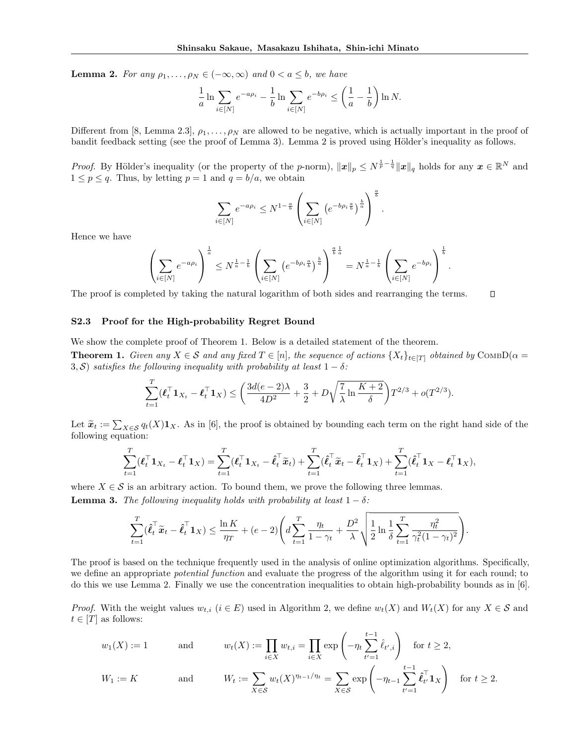**Lemma 2.** For any  $\rho_1, \ldots, \rho_N \in (-\infty, \infty)$  and  $0 < a \leq b$ , we have

$$
\frac{1}{a} \ln \sum_{i \in [N]} e^{-a \rho_i} - \frac{1}{b} \ln \sum_{i \in [N]} e^{-b \rho_i} \le \left(\frac{1}{a} - \frac{1}{b}\right) \ln N.
$$

Different from [8, Lemma 2.3],  $\rho_1, \ldots, \rho_N$  are allowed to be negative, which is actually important in the proof of bandit feedback setting (see the proof of Lemma 3). Lemma 2 is proved using Hölder's inequality as follows.

*Proof.* By Hölder's inequality (or the property of the *p*-norm),  $||x||_p \leq N^{\frac{1}{p} - \frac{1}{q}} ||x||_q$  holds for any  $x \in \mathbb{R}^N$  and  $1 \leq p \leq q$ . Thus, by letting  $p = 1$  and  $q = b/a$ , we obtain

$$
\sum_{i \in [N]} e^{-a\rho_i} \le N^{1 - \frac{a}{b}} \left( \sum_{i \in [N]} \left( e^{-b\rho_i \frac{a}{b}} \right)^{\frac{b}{a}} \right)^{\frac{a}{b}}
$$

*.*

Hence we have

$$
\left(\sum_{i\in[N]}e^{-a\rho_i}\right)^{\frac{1}{a}} \leq N^{\frac{1}{a}-\frac{1}{b}}\left(\sum_{i\in[N]} \left(e^{-b\rho_i\frac{a}{b}}\right)^{\frac{b}{a}}\right)^{\frac{a}{b}\frac{1}{a}} = N^{\frac{1}{a}-\frac{1}{b}}\left(\sum_{i\in[N]}e^{-b\rho_i}\right)^{\frac{1}{b}}.
$$

The proof is completed by taking the natural logarithm of both sides and rearranging the terms.  $\Box$ 

### S2.3 Proof for the High-probability Regret Bound

We show the complete proof of Theorem 1. Below is a detailed statement of the theorem.

**Theorem 1.** Given any  $X \in \mathcal{S}$  and any fixed  $T \in [n]$ , the sequence of actions  $\{X_t\}_{t \in [T]}$  obtained by COMBD( $\alpha =$ 3, *S*) *satisfies the following inequality with probability at least*  $1 - \delta$ :

$$
\sum_{t=1}^T (\boldsymbol{\ell}_t^\top \mathbf{1}_{X_t} - \boldsymbol{\ell}_t^\top \mathbf{1}_X) \le \left( \frac{3d(e-2)\lambda}{4D^2} + \frac{3}{2} + D\sqrt{\frac{7}{\lambda} \ln \frac{K+2}{\delta}} \right) T^{2/3} + o(T^{2/3}).
$$

Let  $\tilde{\mathbf{x}}_t := \sum_{X \in \mathcal{S}} q_t(X) \mathbf{1}_X$ . As in [6], the proof is obtained by bounding each term on the right hand side of the following equation:

$$
\sum_{t=1}^T (\boldsymbol{\ell}_t^\top \mathbf{1}_{X_t} - \boldsymbol{\ell}_t^\top \mathbf{1}_X) = \sum_{t=1}^T (\boldsymbol{\ell}_t^\top \mathbf{1}_{X_t} - \hat{\boldsymbol{\ell}}_t^\top \tilde{\boldsymbol{x}}_t) + \sum_{t=1}^T (\hat{\boldsymbol{\ell}}_t^\top \tilde{\boldsymbol{x}}_t - \hat{\boldsymbol{\ell}}_t^\top \mathbf{1}_X) + \sum_{t=1}^T (\hat{\boldsymbol{\ell}}_t^\top \mathbf{1}_X - \boldsymbol{\ell}_t^\top \mathbf{1}_X),
$$

where  $X \in \mathcal{S}$  is an arbitrary action. To bound them, we prove the following three lemmas.

**Lemma 3.** *The following inequality holds with probability at least*  $1 - \delta$ :

$$
\sum_{t=1}^T (\hat{\boldsymbol{\ell}}_t^\top \tilde{\boldsymbol{x}}_t - \hat{\boldsymbol{\ell}}_t^\top \boldsymbol{1}_X) \le \frac{\ln K}{\eta_T} + (e-2) \Bigg( d \sum_{t=1}^T \frac{\eta_t}{1-\gamma_t} + \frac{D^2}{\lambda} \sqrt{\frac{1}{2} \ln \frac{1}{\delta} \sum_{t=1}^T \frac{\eta_t^2}{\gamma_t^2 (1-\gamma_t)^2}} \Bigg).
$$

The proof is based on the technique frequently used in the analysis of online optimization algorithms. Specifically, we define an appropriate *potential function* and evaluate the progress of the algorithm using it for each round; to do this we use Lemma 2. Finally we use the concentration inequalities to obtain high-probability bounds as in [6].

*Proof.* With the weight values  $w_{t,i}$  ( $i \in E$ ) used in Algorithm 2, we define  $w_t(X)$  and  $W_t(X)$  for any  $X \in \mathcal{S}$  and  $t \in [T]$  as follows:

$$
w_1(X) := 1 \quad \text{and} \quad w_t(X) := \prod_{i \in X} w_{t,i} = \prod_{i \in X} \exp\left(-\eta_t \sum_{t'=1}^{t-1} \hat{\ell}_{t',i}\right) \quad \text{for } t \ge 2,
$$
\n
$$
W_1 := K \quad \text{and} \quad W_t := \sum_{X \in S} w_t(X)^{\eta_{t-1}/\eta_t} = \sum_{X \in S} \exp\left(-\eta_{t-1} \sum_{t'=1}^{t-1} \hat{\ell}_{t'}^{\top} \mathbf{1}_X\right) \quad \text{for } t \ge 2,
$$

for *t* 2*.*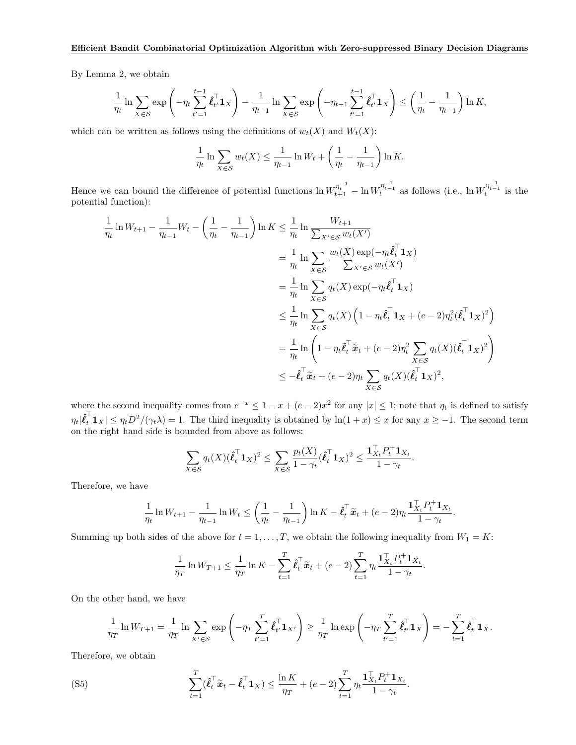By Lemma 2, we obtain

$$
\frac{1}{\eta_t} \ln \sum_{X \in \mathcal{S}} \exp \left( -\eta_t \sum_{t'=1}^{t-1} \hat{\ell}_{t'}^{\top} \mathbf{1}_X \right) - \frac{1}{\eta_{t-1}} \ln \sum_{X \in \mathcal{S}} \exp \left( -\eta_{t-1} \sum_{t'=1}^{t-1} \hat{\ell}_{t'}^{\top} \mathbf{1}_X \right) \le \left( \frac{1}{\eta_t} - \frac{1}{\eta_{t-1}} \right) \ln K,
$$

which can be written as follows using the definitions of  $w_t(X)$  and  $W_t(X)$ :

$$
\frac{1}{\eta_t} \ln \sum_{X \in \mathcal{S}} w_t(X) \le \frac{1}{\eta_{t-1}} \ln W_t + \left(\frac{1}{\eta_t} - \frac{1}{\eta_{t-1}}\right) \ln K.
$$

Hence we can bound the difference of potential functions  $\ln W_{t+1}^{\eta_{t-1}^{-1}} - \ln W_t^{\eta_{t-1}^{-1}}$  as follows (i.e.,  $\ln W_t^{\eta_{t-1}^{-1}}$  is the potential function):

$$
\frac{1}{\eta_t} \ln W_{t+1} - \frac{1}{\eta_{t-1}} W_t - \left(\frac{1}{\eta_t} - \frac{1}{\eta_{t-1}}\right) \ln K \le \frac{1}{\eta_t} \ln \frac{W_{t+1}}{\sum_{X' \in S} w_t(X')}
$$
\n
$$
= \frac{1}{\eta_t} \ln \sum_{X \in S} \frac{w_t(X) \exp(-\eta_t \hat{\ell}_t^\top \mathbf{1}_X)}{\sum_{X' \in S} w_t(X')}
$$
\n
$$
= \frac{1}{\eta_t} \ln \sum_{X \in S} q_t(X) \exp(-\eta_t \hat{\ell}_t^\top \mathbf{1}_X)
$$
\n
$$
\le \frac{1}{\eta_t} \ln \sum_{X \in S} q_t(X) \left(1 - \eta_t \hat{\ell}_t^\top \mathbf{1}_X + (e - 2)\eta_t^2 (\hat{\ell}_t^\top \mathbf{1}_X)^2\right)
$$
\n
$$
= \frac{1}{\eta_t} \ln \left(1 - \eta_t \hat{\ell}_t^\top \tilde{\mathbf{1}}_t + (e - 2)\eta_t^2 \sum_{X \in S} q_t(X) (\hat{\ell}_t^\top \mathbf{1}_X)^2\right)
$$
\n
$$
\le -\hat{\ell}_t^\top \tilde{\mathbf{x}}_t + (e - 2)\eta_t \sum_{X \in S} q_t(X) (\hat{\ell}_t^\top \mathbf{1}_X)^2,
$$

where the second inequality comes from  $e^{-x} \leq 1 - x + (e - 2)x^2$  for any  $|x| \leq 1$ ; note that  $\eta_t$  is defined to satisfy  $\eta_t|\hat{\ell}_t^{\perp}1_X| \leq \eta_t D^2/(\gamma_t \lambda) = 1$ . The third inequality is obtained by  $\ln(1+x) \leq x$  for any  $x \geq -1$ . The second term on the right hand side is bounded from above as follows:

$$
\sum_{X \in \mathcal{S}} q_t(X)(\hat{\ell}_t^{\top} \mathbf{1}_X)^2 \leq \sum_{X \in \mathcal{S}} \frac{p_t(X)}{1 - \gamma_t} (\hat{\ell}_t^{\top} \mathbf{1}_X)^2 \leq \frac{\mathbf{1}_{X_t}^{\top} P_t^+ \mathbf{1}_{X_t}}{1 - \gamma_t}.
$$

Therefore, we have

$$
\frac{1}{\eta_t} \ln W_{t+1} - \frac{1}{\eta_{t-1}} \ln W_t \le \left(\frac{1}{\eta_t} - \frac{1}{\eta_{t-1}}\right) \ln K - \hat{\ell}_t^{\top} \tilde{\mathbf{x}}_t + (e-2)\eta_t \frac{\mathbf{1}_{X_t}^{\top} P_t^+ \mathbf{1}_{X_t}}{1-\gamma_t}
$$

*.*

Summing up both sides of the above for  $t = 1, \ldots, T$ , we obtain the following inequality from  $W_1 = K$ :

$$
\frac{1}{\eta_T} \ln W_{T+1} \leq \frac{1}{\eta_T} \ln K - \sum_{t=1}^T \hat{\boldsymbol{\ell}}_t^\top \tilde{\boldsymbol{x}}_t + (e-2) \sum_{t=1}^T \eta_t \frac{\mathbf{1}_{X_t}^\top P_t^+ \mathbf{1}_{X_t}}{1 - \gamma_t}.
$$

On the other hand, we have

$$
\frac{1}{\eta_T} \ln W_{T+1} = \frac{1}{\eta_T} \ln \sum_{X' \in \mathcal{S}} \exp\left(-\eta_T \sum_{t'=1}^T \hat{\boldsymbol{\ell}}_{t'}^\top \mathbf{1}_{X'}\right) \ge \frac{1}{\eta_T} \ln \exp\left(-\eta_T \sum_{t'=1}^T \hat{\boldsymbol{\ell}}_{t'}^\top \mathbf{1}_{X}\right) = -\sum_{t=1}^T \hat{\boldsymbol{\ell}}_t^\top \mathbf{1}_{X}.
$$

Therefore, we obtain

$$
\sum_{t=1}^T (\hat{\boldsymbol{\ell}}_t^\top \tilde{\boldsymbol{x}}_t - \hat{\boldsymbol{\ell}}_t^\top \boldsymbol{1}_X) \le \frac{\ln K}{\eta_T} + (e-2) \sum_{t=1}^T \eta_t \frac{\mathbf{1}_{X_t}^\top P_t^+ \mathbf{1}_{X_t}}{1 - \gamma_t}.
$$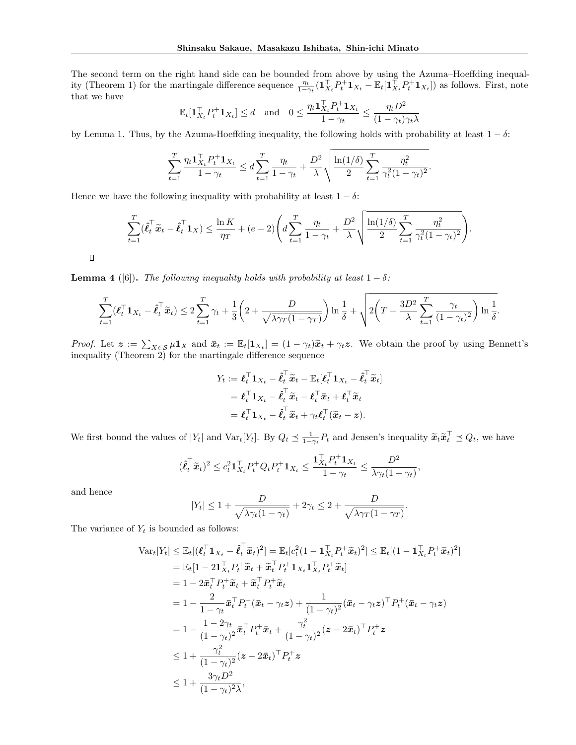The second term on the right hand side can be bounded from above by using the Azuma–Hoeffding inequality (Theorem 1) for the martingale difference sequence  $\frac{\eta_t}{1-\gamma_t}(\mathbf{1}_{X_t}^{\top} P_t^+ \mathbf{1}_{X_t} - \mathbb{E}_t[\mathbf{1}_{X_t}^{\top} P_t^+ \mathbf{1}_{X_t}])$  as follows. First, note that we have

$$
\mathbb{E}_t[\mathbf{1}_{X_t}^{\top} P_t^+ \mathbf{1}_{X_t}] \le d \quad \text{and} \quad 0 \le \frac{\eta_t \mathbf{1}_{X_t}^{\top} P_t^+ \mathbf{1}_{X_t}}{1 - \gamma_t} \le \frac{\eta_t D^2}{(1 - \gamma_t)\gamma_t \lambda}
$$

by Lemma 1. Thus, by the Azuma-Hoeffding inequality, the following holds with probability at least  $1 - \delta$ :

$$
\sum_{t=1}^T \frac{\eta_t \mathbf{1}_{X_t}^\top P_t^+ \mathbf{1}_{X_t}}{1 - \gamma_t} \le d \sum_{t=1}^T \frac{\eta_t}{1 - \gamma_t} + \frac{D^2}{\lambda} \sqrt{\frac{\ln(1/\delta)}{2} \sum_{t=1}^T \frac{\eta_t^2}{\gamma_t^2 (1 - \gamma_t)^2}}.
$$

Hence we have the following inequality with probability at least  $1 - \delta$ :

$$
\sum_{t=1}^T (\hat{\ell}_t^\top \tilde{\mathbf{x}}_t - \hat{\ell}_t^\top \mathbf{1}_X) \le \frac{\ln K}{\eta_T} + (e-2) \left( d \sum_{t=1}^T \frac{\eta_t}{1-\gamma_t} + \frac{D^2}{\lambda} \sqrt{\frac{\ln(1/\delta)}{2} \sum_{t=1}^T \frac{\eta_t^2}{\gamma_t^2 (1-\gamma_t)^2}} \right).
$$

 $\Box$ 

**Lemma 4** ([6]). *The following inequality holds with probability at least*  $1 - \delta$ :

$$
\sum_{t=1}^T (\boldsymbol{\ell}_t^\top \mathbf{1}_{X_t} - \boldsymbol{\hat{\ell}}_t^\top \widetilde{\mathbf{x}}_t) \leq 2 \sum_{t=1}^T \gamma_t + \frac{1}{3} \bigg(2 + \frac{D}{\sqrt{\lambda \gamma_T (1 - \gamma_T)}} \bigg) \ln \frac{1}{\delta} + \sqrt{2 \bigg(T + \frac{3D^2}{\lambda} \sum_{t=1}^T \frac{\gamma_t}{(1 - \gamma_t)^2} \bigg) \ln \frac{1}{\delta}}.
$$

*Proof.* Let  $\mathbf{z} := \sum_{X \in \mathcal{S}} \mu \mathbf{1}_X$  and  $\bar{\mathbf{x}}_t := \mathbb{E}_t[\mathbf{1}_{X_t}] = (1 - \gamma_t)\tilde{\mathbf{x}}_t + \gamma_t \mathbf{z}$ . We obtain the proof by using Bennett's inequality (Theorem 2) for the martingale difference sequence

$$
Y_t := \boldsymbol{\ell}_t^\top \mathbf{1}_{X_t} - \hat{\boldsymbol{\ell}}_t^\top \widetilde{\boldsymbol{x}}_t - \mathbb{E}_t[\boldsymbol{\ell}_t^\top \mathbf{1}_{X_t} - \hat{\boldsymbol{\ell}}_t^\top \widetilde{\boldsymbol{x}}_t]
$$
  
=  $\boldsymbol{\ell}_t^\top \mathbf{1}_{X_t} - \hat{\boldsymbol{\ell}}_t^\top \widetilde{\boldsymbol{x}}_t - \boldsymbol{\ell}_t^\top \bar{\boldsymbol{x}}_t + \boldsymbol{\ell}_t^\top \widetilde{\boldsymbol{x}}_t$   
=  $\boldsymbol{\ell}_t^\top \mathbf{1}_{X_t} - \hat{\boldsymbol{\ell}}_t^\top \widetilde{\boldsymbol{x}}_t + \gamma_t \boldsymbol{\ell}_t^\top (\widetilde{\boldsymbol{x}}_t - \boldsymbol{z}).$ 

We first bound the values of  $|Y_t|$  and  $\text{Var}_t[Y_t]$ . By  $Q_t \leq \frac{1}{1-\gamma_t}P_t$  and Jensen's inequality  $\widetilde{\boldsymbol{x}}_t \widetilde{\boldsymbol{x}}_t^{\top} \preceq Q_t$ , we have

$$
(\hat{\boldsymbol{\ell}}_t^{\top} \tilde{\boldsymbol{x}}_t)^2 \leq c_t^2 \mathbf{1}_{X_t}^{\top} P_t^+ Q_t P_t^+ \mathbf{1}_{X_t} \leq \frac{\mathbf{1}_{X_t}^{\top} P_t^+ \mathbf{1}_{X_t}}{1 - \gamma_t} \leq \frac{D^2}{\lambda \gamma_t (1 - \gamma_t)},
$$

and hence

$$
|Y_t| \le 1 + \frac{D}{\sqrt{\lambda \gamma_t (1 - \gamma_t)}} + 2\gamma_t \le 2 + \frac{D}{\sqrt{\lambda \gamma_T (1 - \gamma_T)}}.
$$

The variance of  $Y_t$  is bounded as follows:

$$
\begin{split}\n\text{Var}_{t}[Y_{t}] &\leq \mathbb{E}_{t}[(\boldsymbol{\ell}_{t}^{\top} \mathbf{1}_{X_{t}} - \hat{\boldsymbol{\ell}}_{t}^{\top} \tilde{\boldsymbol{x}}_{t})^{2}] = \mathbb{E}_{t}[c_{t}^{2}(1 - \mathbf{1}_{X_{t}}^{\top} P_{t}^{+} \tilde{\boldsymbol{x}}_{t})^{2}] \leq \mathbb{E}_{t}[(1 - \mathbf{1}_{X_{t}}^{\top} P_{t}^{+} \tilde{\boldsymbol{x}}_{t})^{2}] \\
&= \mathbb{E}_{t}[1 - 2\mathbf{1}_{X_{t}}^{\top} P_{t}^{+} \tilde{\boldsymbol{x}}_{t} + \tilde{\boldsymbol{x}}_{t}^{\top} P_{t}^{+} \mathbf{1}_{X_{t}} \mathbf{1}_{X_{t}}^{\top} P_{t}^{+} \tilde{\boldsymbol{x}}_{t}] \\
&= 1 - 2\bar{\boldsymbol{x}}_{t}^{\top} P_{t}^{+} \tilde{\boldsymbol{x}}_{t} + \tilde{\boldsymbol{x}}_{t}^{\top} P_{t}^{+} \tilde{\boldsymbol{x}}_{t} \\
&= 1 - \frac{2}{1 - \gamma_{t}} \bar{\boldsymbol{x}}_{t}^{\top} P_{t}^{+} (\bar{\boldsymbol{x}}_{t} - \gamma_{t} \boldsymbol{z}) + \frac{1}{(1 - \gamma_{t})^{2}} (\bar{\boldsymbol{x}}_{t} - \gamma_{t} \boldsymbol{z})^{\top} P_{t}^{+} (\bar{\boldsymbol{x}}_{t} - \gamma_{t} \boldsymbol{z}) \\
&= 1 - \frac{1 - 2\gamma_{t}}{(1 - \gamma_{t})^{2}} \bar{\boldsymbol{x}}_{t}^{\top} P_{t}^{+} \bar{\boldsymbol{x}}_{t} + \frac{\gamma_{t}^{2}}{(1 - \gamma_{t})^{2}} (\boldsymbol{z} - 2\bar{\boldsymbol{x}}_{t})^{\top} P_{t}^{+} \boldsymbol{z} \\
&\leq 1 + \frac{\gamma_{t}^{2}}{(1 - \gamma_{t})^{2}} (\boldsymbol{z} - 2\bar{\boldsymbol{x}}_{t})^{\top} P_{t}^{+} \boldsymbol{z} \\
&\leq 1 + \frac{3\gamma_{t} D^{2}}{(1 - \gamma_{t})^{2} \lambda},\n\end{split}
$$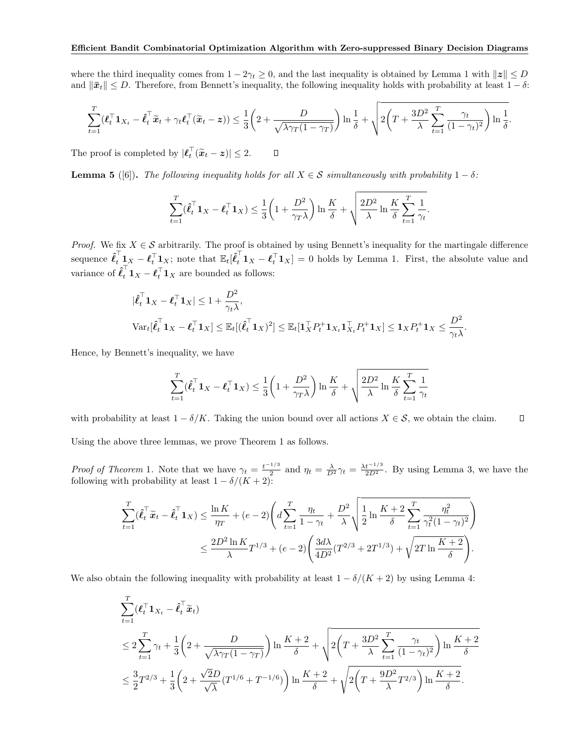where the third inequality comes from  $1 - 2\gamma_t \geq 0$ , and the last inequality is obtained by Lemma 1 with  $||z|| \leq D$ and  $\|\bar{x}_t\| \leq D$ . Therefore, from Bennett's inequality, the following inequality holds with probability at least  $1 - \delta$ :

$$
\sum_{t=1}^T (\boldsymbol{\ell}_t^\top \boldsymbol{1}_{X_t} - \hat{\boldsymbol{\ell}}_t^\top \tilde{\boldsymbol{x}}_t + \gamma_t \boldsymbol{\ell}_t^\top (\tilde{\boldsymbol{x}}_t - \boldsymbol{z})) \leq \frac{1}{3} \bigg(2 + \frac{D}{\sqrt{\lambda \gamma_T (1 - \gamma_T)}} \bigg) \ln \frac{1}{\delta} + \sqrt{2 \bigg(T + \frac{3D^2}{\lambda} \sum_{t=1}^T \frac{\gamma_t}{(1 - \gamma_t)^2} \bigg) \ln \frac{1}{\delta}}.
$$

 $\Box$ The proof is completed by  $|\ell_t^{\perp}(\tilde{x}_t - z)| \leq 2$ .

**Lemma 5** ([6]). The following inequality holds for all  $X \in \mathcal{S}$  simultaneously with probability  $1 - \delta$ :

$$
\sum_{t=1}^T (\hat{\boldsymbol{\ell}}_t^\top \mathbf{1}_X - \boldsymbol{\ell}_t^\top \mathbf{1}_X) \le \frac{1}{3} \bigg( 1 + \frac{D^2}{\gamma_T \lambda} \bigg) \ln \frac{K}{\delta} + \sqrt{\frac{2D^2}{\lambda} \ln \frac{K}{\delta} \sum_{t=1}^T \frac{1}{\gamma_t}}.
$$

*Proof.* We fix  $X \in \mathcal{S}$  arbitrarily. The proof is obtained by using Bennett's inequality for the martingale difference sequence  $\hat{\ell}_t^{\perp} \mathbf{1}_X - \ell_t^{\top} \mathbf{1}_X$ ; note that  $\mathbb{E}_t[\hat{\ell}_t^{\perp} \mathbf{1}_X - \ell_t^{\top} \mathbf{1}_X] = 0$  holds by Lemma 1. First, the absolute value and variance of  $\hat{\ell}_t^{\dagger} \mathbf{1}_X - \ell_t^{\dagger} \mathbf{1}_X$  are bounded as follows:

$$
|\hat{\ell}_t^{\top} \mathbf{1}_X - \ell_t^{\top} \mathbf{1}_X| \le 1 + \frac{D^2}{\gamma_t \lambda},
$$
  

$$
\text{Var}_t[\hat{\ell}_t^{\top} \mathbf{1}_X - \ell_t^{\top} \mathbf{1}_X] \le \mathbb{E}_t[(\hat{\ell}_t^{\top} \mathbf{1}_X)^2] \le \mathbb{E}_t[\mathbf{1}_X^{\top} P_t^+ \mathbf{1}_{X_t} \mathbf{1}_{X_t}^{\top} P_t^+ \mathbf{1}_X] \le \mathbf{1}_X P_t^+ \mathbf{1}_X \le \frac{D^2}{\gamma_t \lambda}.
$$

Hence, by Bennett's inequality, we have

$$
\sum_{t=1}^T ( \hat{\boldsymbol{\ell}}_t^\top \mathbf{1}_X - \boldsymbol{\ell}_t^\top \mathbf{1}_X ) \leq \frac{1}{3} \bigg( 1 + \frac{D^2}{\gamma_T \lambda} \bigg) \ln \frac{K}{\delta} + \sqrt{\frac{2D^2}{\lambda} \ln \frac{K}{\delta} \sum_{t=1}^T \frac{1}{\gamma_t}} \\
$$

with probability at least  $1 - \delta/K$ . Taking the union bound over all actions  $X \in \mathcal{S}$ , we obtain the claim.  $\Box$ Using the above three lemmas, we prove Theorem 1 as follows.

*Proof of Theorem* 1. Note that we have  $\gamma_t = \frac{t^{-1/3}}{2}$  and  $\eta_t = \frac{\lambda}{D^2} \gamma_t = \frac{\lambda t^{-1/3}}{2D^2}$ . By using Lemma 3, we have the following with probability at least  $1 - \delta/(K + 2)$ :

$$
\sum_{t=1}^{T} (\hat{\ell}_{t}^{\top} \tilde{x}_{t} - \hat{\ell}_{t}^{\top} \mathbf{1}_{X}) \leq \frac{\ln K}{\eta_{T}} + (e - 2) \left( d \sum_{t=1}^{T} \frac{\eta_{t}}{1 - \gamma_{t}} + \frac{D^{2}}{\lambda} \sqrt{\frac{1}{2} \ln \frac{K + 2}{\delta} \sum_{t=1}^{T} \frac{\eta_{t}^{2}}{\gamma_{t}^{2} (1 - \gamma_{t})^{2}}} \right) \leq \frac{2D^{2} \ln K}{\lambda} T^{1/3} + (e - 2) \left( \frac{3d\lambda}{4D^{2}} (T^{2/3} + 2T^{1/3}) + \sqrt{2T \ln \frac{K + 2}{\delta}} \right).
$$

We also obtain the following inequality with probability at least  $1 - \delta/(K + 2)$  by using Lemma 4:

$$
\sum_{t=1}^{T} (\ell_t^{\top} \mathbf{1}_{X_t} - \hat{\ell}_t^{\top} \tilde{\mathbf{x}}_t)
$$
\n
$$
\leq 2 \sum_{t=1}^{T} \gamma_t + \frac{1}{3} \left( 2 + \frac{D}{\sqrt{\lambda \gamma_T (1 - \gamma_T)}} \right) \ln \frac{K + 2}{\delta} + \sqrt{2 \left( T + \frac{3D^2}{\lambda} \sum_{t=1}^{T} \frac{\gamma_t}{(1 - \gamma_t)^2} \right) \ln \frac{K + 2}{\delta}}
$$
\n
$$
\leq \frac{3}{2} T^{2/3} + \frac{1}{3} \left( 2 + \frac{\sqrt{2}D}{\sqrt{\lambda}} (T^{1/6} + T^{-1/6}) \right) \ln \frac{K + 2}{\delta} + \sqrt{2 \left( T + \frac{9D^2}{\lambda} T^{2/3} \right) \ln \frac{K + 2}{\delta}}.
$$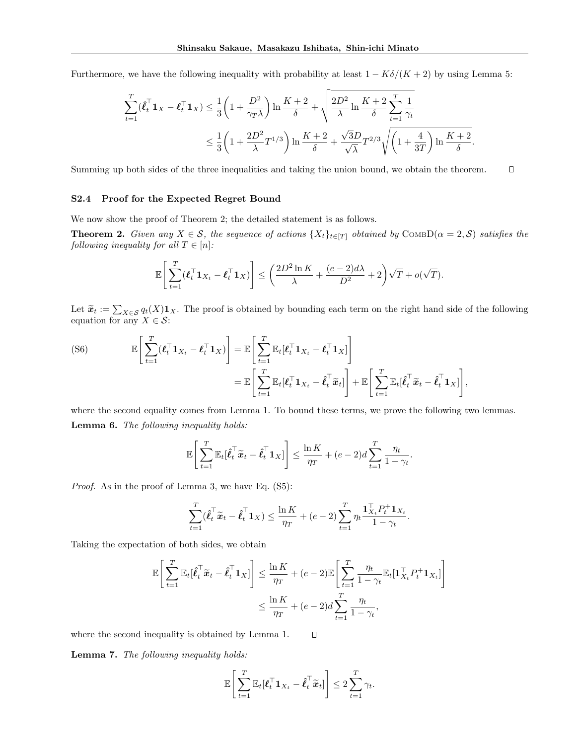Furthermore, we have the following inequality with probability at least  $1 - K\delta/(K+2)$  by using Lemma 5:

$$
\begin{aligned} \sum_{t=1}^T (\hat{\pmb{\ell}}_t^\top \mathbf{1}_X - \pmb{\ell}_t^\top \mathbf{1}_X) &\leq \frac{1}{3} \bigg( 1 + \frac{D^2}{\gamma_T \lambda} \bigg) \ln \frac{K+2}{\delta} + \sqrt{\frac{2D^2}{\lambda} \ln \frac{K+2}{\delta}} \sum_{t=1}^T \frac{1}{\gamma_t} \\ &\leq \frac{1}{3} \bigg( 1 + \frac{2D^2}{\lambda} T^{1/3} \bigg) \ln \frac{K+2}{\delta} + \frac{\sqrt{3}D}{\sqrt{\lambda}} T^{2/3} \sqrt{\bigg( 1 + \frac{4}{3T} \bigg) \ln \frac{K+2}{\delta}}. \end{aligned}
$$

Summing up both sides of the three inequalities and taking the union bound, we obtain the theorem.  $\Box$ 

#### S2.4 Proof for the Expected Regret Bound

We now show the proof of Theorem 2; the detailed statement is as follows.

**Theorem 2.** Given any  $X \in S$ , the sequence of actions  $\{X_t\}_{t \in [T]}$  obtained by COMBD( $\alpha = 2, S$ ) satisfies the *following inequality for all*  $T \in [n]$ *:* 

$$
\mathbb{E}\Bigg[\sum_{t=1}^T (\boldsymbol{\ell}_t^\top \mathbf{1}_{X_t} - \boldsymbol{\ell}_t^\top \mathbf{1}_X)\Bigg] \le \bigg(\frac{2D^2\ln K}{\lambda} + \frac{(e-2)d\lambda}{D^2} + 2\bigg)\sqrt{T} + o(\sqrt{T}).
$$

Let  $\tilde{\mathbf{x}}_t := \sum_{X \in \mathcal{S}} q_t(X) \mathbf{1}_X$ . The proof is obtained by bounding each term on the right hand side of the following equation for any  $X \in \mathcal{S}$ :

(S6) 
$$
\mathbb{E}\left[\sum_{t=1}^T (\boldsymbol{\ell}_t^\top \mathbf{1}_{X_t} - \boldsymbol{\ell}_t^\top \mathbf{1}_X)\right] = \mathbb{E}\left[\sum_{t=1}^T \mathbb{E}_t[\boldsymbol{\ell}_t^\top \mathbf{1}_{X_t} - \boldsymbol{\ell}_t^\top \mathbf{1}_X]\right] \n= \mathbb{E}\left[\sum_{t=1}^T \mathbb{E}_t[\boldsymbol{\ell}_t^\top \mathbf{1}_{X_t} - \hat{\boldsymbol{\ell}}_t^\top \tilde{\boldsymbol{x}}_t]\right] + \mathbb{E}\left[\sum_{t=1}^T \mathbb{E}_t[\hat{\boldsymbol{\ell}}_t^\top \tilde{\boldsymbol{x}}_t - \hat{\boldsymbol{\ell}}_t^\top \mathbf{1}_X]\right],
$$

where the second equality comes from Lemma 1. To bound these terms, we prove the following two lemmas. Lemma 6. *The following inequality holds:*

$$
\mathbb{E}\left[\sum_{t=1}^T \mathbb{E}_t[\hat{\boldsymbol{\ell}}_t^\top \widetilde{\boldsymbol{x}}_t - \hat{\boldsymbol{\ell}}_t^\top \mathbf{1}_X]\right] \le \frac{\ln K}{\eta_T} + (e-2)d \sum_{t=1}^T \frac{\eta_t}{1-\gamma_t}.
$$

*Proof.* As in the proof of Lemma 3, we have Eq. (S5):

$$
\sum_{t=1}^T (\hat{\boldsymbol{\ell}}_t^\top \tilde{\boldsymbol{x}}_t - \hat{\boldsymbol{\ell}}_t^\top \mathbf{1}_X) \le \frac{\ln K}{\eta_T} + (e-2) \sum_{t=1}^T \eta_t \frac{\mathbf{1}_{X_t}^\top P_t^+ \mathbf{1}_{X_t}}{1 - \gamma_t}.
$$

Taking the expectation of both sides, we obtain

$$
\mathbb{E}\left[\sum_{t=1}^T \mathbb{E}_t[\hat{\ell}_t^\top \tilde{\mathbf{x}}_t - \hat{\ell}_t^\top \mathbf{1}_X]\right] \le \frac{\ln K}{\eta_T} + (e-2)\mathbb{E}\left[\sum_{t=1}^T \frac{\eta_t}{1-\gamma_t} \mathbb{E}_t[\mathbf{1}_{X_t}^\top P_t^+ \mathbf{1}_{X_t}]\right]
$$

$$
\le \frac{\ln K}{\eta_T} + (e-2)d\sum_{t=1}^T \frac{\eta_t}{1-\gamma_t},
$$

 $\Box$ 

where the second inequality is obtained by Lemma 1.

Lemma 7. *The following inequality holds:*

$$
\mathbb{E}\Bigg[\sum_{t=1}^T \mathbb{E}_t[\boldsymbol{\ell}_t^\top \boldsymbol{1}_{X_t} - \hat{\boldsymbol{\ell}}_t^\top \widetilde{\boldsymbol{x}}_t]\Bigg] \leq 2 \sum_{t=1}^T \gamma_t.
$$